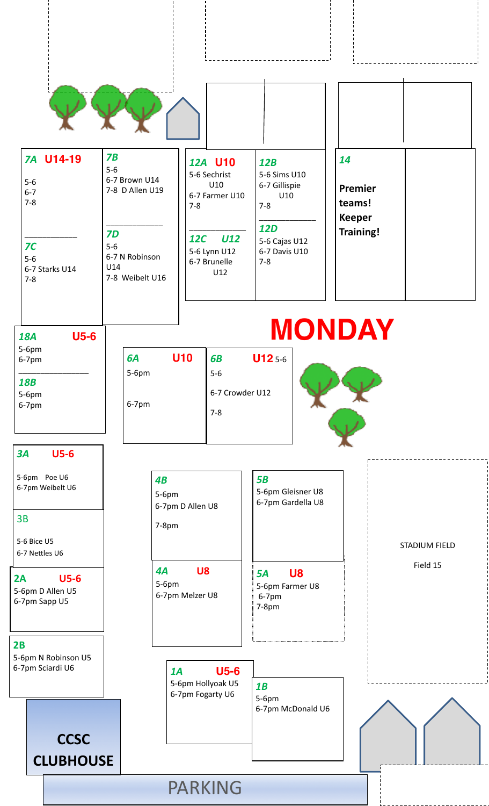

*7B* 5-6

## *7A* **U14-19** 5-6 6-7 7-8 \_\_\_\_\_\_\_\_\_\_\_\_ *7C* 5-6

6-7 Starks U14

\_\_\_\_\_\_\_\_\_\_\_\_\_ *7D* 5-6 6-7 N Robinson U14 7-8 Weibelt U16

*6A* **U10**

5-6pm

6-7pm

6-7 Brown U14 7-8 D Allen U19

### *12A* **U10**  5-6 Sechrist U10 6-7 Farmer U10 7-8 \_\_\_\_\_\_\_\_\_\_\_\_\_ *12C U12* 5-6 Lynn U12 6-7 Brunelle U12 7-8

*6B* **U12** 5-6

6-7 Crowder U12

5-6

7-8

## *12B*  5-6 Sims U10 6-7 Gillispie U10 7-8 \_\_\_\_\_\_\_\_\_\_\_\_\_ *12D*  5-6 Cajas U12 6-7 Davis U10

**MONDAY**

|  | 14                                                     |  |
|--|--------------------------------------------------------|--|
|  | Premier<br>teams!<br><b>Keeper</b><br><b>Training!</b> |  |

| 18A   | U5-6 |
|-------|------|
| 5-6pm |      |
| 6-7pm |      |
| 1 Q D |      |

7-8

*18B* 5-6pm 6-7pm

## *3A* **U5-6**

5-6pm Poe U6 6-7pm Weibelt U6

5-6 Bice U5 6-7 Nettles U6

**2A U5-6**  5-6pm D Allen U5 6-7pm Sapp U5

**2B** 5-6pm N Robinson U5 6-7pm Sciardi U6

> **CCSC CLUBHOUSE**



4A **U8** 5A **U8** Field 15 5-6pm 6-7pm Melzer U8

*1A* **U5-6**  5-6pm Hollyoak U5 6-7pm Fogarty U6

PARKING

*5B* 5-6pm Gleisner U8 6-7pm Gardella U8

*5A* **U8**  5-6pm Farmer U8 6-7pm 7-8pm

*1B* 5-6pm 6-7pm McDonald U6 STADIUM FIELD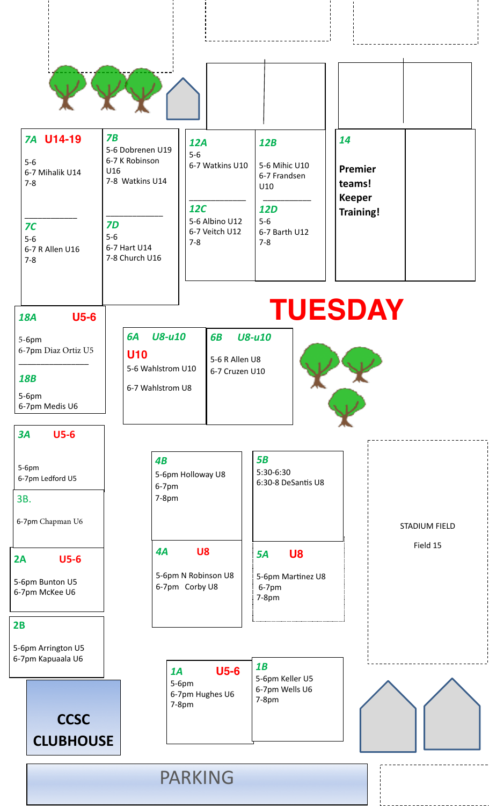

*6A U8-u10* 

5-6 Wahlstrom U10

6-7 Wahlstrom U8

**U10**

| <b>7A U14-19</b>                                    | <b>7B</b><br>5-6 Dobrenen U19                        | 12A                                                       | 12B                                             | 14                                |  |
|-----------------------------------------------------|------------------------------------------------------|-----------------------------------------------------------|-------------------------------------------------|-----------------------------------|--|
| $5-6$<br>6-7 Mihalik U14<br>$7-8$                   | 6-7 K Robinson<br>U16<br>7-8 Watkins U14             | $5-6$<br>6-7 Watkins U10                                  | 5-6 Mihic U10<br>6-7 Frandsen<br>U10            | Premier<br>teams!                 |  |
| 7 <sup>C</sup><br>$5-6$<br>6-7 R Allen U16<br>$7-8$ | <b>7D</b><br>$5-6$<br>6-7 Hart U14<br>7-8 Church U16 | <b>12C</b><br>5-6 Albino U12<br>6-7 Veitch U12<br>$7 - 8$ | <b>12D</b><br>$5-6$<br>6-7 Barth U12<br>$7 - 8$ | <b>Keeper</b><br><b>Training!</b> |  |

*6B U8-u10*

5-6 R Allen U8 6-7 Cruzen U10

*18A* **U5-6**

5-6pm 6-7pm Diaz Ortiz U5 \_\_\_\_\_\_\_\_\_\_\_\_\_\_\_\_

*18B*

5-6pm 6-7pm Medis U6

## *3A* **U5-6**

5-6pm 6-7pm Ledford U5

3B.

6-7pm Chapman U6

**2A U5-6** 

5-6pm Bunton U5 6-7pm McKee U6

## **2B**

5-6pm Arrington U5 6-7pm Kapuaala U6



| 4B<br>5-6pm Holloway U8<br>$6-7$ pm<br>$7-8pm$ | 5B<br>5:30-6:30<br>6:30-8 DeSantis U8 | <b>STADIUM FI</b> |
|------------------------------------------------|---------------------------------------|-------------------|
| U8<br>4A                                       | U8<br>5A                              | Field 15          |
| 5-6pm N Robinson U8                            | 5-6pm Martinez U8                     |                   |

6-7pm Corby U8

**TUESDAY**

Martinez U8 6-7pm 7-8pm

*1A* **U5-6**  5-6pm 6-7pm Hughes U6 7-8pm *1B* 5-6pm Keller U5 6-7pm Wells U6 7-8pm

STADIUM FIELD



PARKING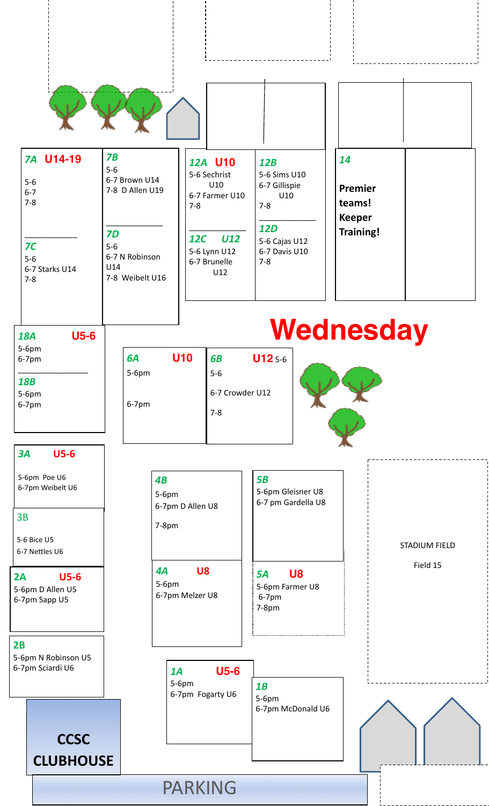

*7B* 5-6

## *7A* **U14-19** 5-6 6-7 7-8 \_\_\_\_\_\_\_\_\_\_\_\_ *7C*

5-6

7-8

6-7 Starks U14

\_\_\_\_\_\_\_\_\_\_\_\_\_ *7D* 5-6 6-7 N Robinson U14 7-8 Weibelt U16

6-7 Brown U14 7-8 D Allen U19

#### *12A* **U10**  5-6 Sechrist U10 6-7 Farmer U10 7-8 \_\_\_\_\_\_\_\_\_\_\_\_\_ *12C U12* 5-6 Lynn U12 6-7 Brunelle U12 *12B*  7-8 *12D*  5-6 Cajas U12 6-7 Davis U10 7-8

## 5-6 Sims U10 6-7 Gillispie U10 \_\_\_\_\_\_\_\_\_\_\_\_\_

|  | 14                                 |  |
|--|------------------------------------|--|
|  | Premier<br>teams!<br><b>Keeper</b> |  |
|  | <b>Training!</b>                   |  |
|  |                                    |  |

#### *6A* **U10** 5-6pm 6-7pm *6B* **U12** 5-6 5-6 6-7 Crowder U12 7-8 **Wednesday** *18A* **U5-6** 5-6pm 6-7pm \_\_\_\_\_\_\_\_\_\_\_\_\_\_\_\_ *18B* 5-6pm 6-7pm

## *3A* **U5-6**

5-6pm Poe U6 6-7pm Weibelt U6

#### 3B

5-6 Bice U5 6-7 Nettles U6

## **2A U5-6**  5-6pm D Allen U5

6-7pm Sapp U5

## **2B** 5-6pm N Robinson U5

6-7pm Sciardi U6

## **CCSC CLUBHOUSE**

*4B* 5-6pm 6-7pm D Allen U8 7-8pm

5-6pm 6-7pm Melzer U8

5-6pm

## *5B* 5-6pm Gleisner U8 6-7 pm Gardella U8

# 4A **U8 5A U8 Field 15**

*5A* **U8** 5-6pm Farmer U8 6-7pm 7-8pm

*1A* **U5-6**  6-7pm Fogarty U6 *1B* 5-6pm

## 6-7pm McDonald U6

STADIUM FIELD

## PARKING